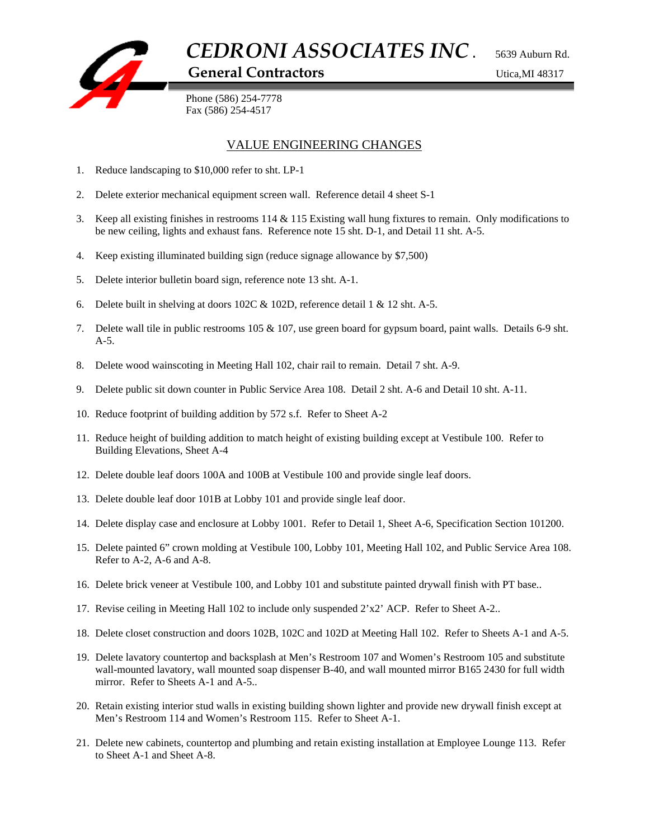

## VALUE ENGINEERING CHANGES

- 1. Reduce landscaping to \$10,000 refer to sht. LP-1
- 2. Delete exterior mechanical equipment screen wall. Reference detail 4 sheet S-1
- 3. Keep all existing finishes in restrooms 114 & 115 Existing wall hung fixtures to remain. Only modifications to be new ceiling, lights and exhaust fans. Reference note 15 sht. D-1, and Detail 11 sht. A-5.
- 4. Keep existing illuminated building sign (reduce signage allowance by \$7,500)
- 5. Delete interior bulletin board sign, reference note 13 sht. A-1.
- 6. Delete built in shelving at doors 102C  $\&$  102D, reference detail 1  $\&$  12 sht. A-5.
- 7. Delete wall tile in public restrooms 105 & 107, use green board for gypsum board, paint walls. Details 6-9 sht.  $A-5$ .
- 8. Delete wood wainscoting in Meeting Hall 102, chair rail to remain. Detail 7 sht. A-9.
- 9. Delete public sit down counter in Public Service Area 108. Detail 2 sht. A-6 and Detail 10 sht. A-11.
- 10. Reduce footprint of building addition by 572 s.f. Refer to Sheet A-2
- 11. Reduce height of building addition to match height of existing building except at Vestibule 100. Refer to Building Elevations, Sheet A-4
- 12. Delete double leaf doors 100A and 100B at Vestibule 100 and provide single leaf doors.
- 13. Delete double leaf door 101B at Lobby 101 and provide single leaf door.
- 14. Delete display case and enclosure at Lobby 1001. Refer to Detail 1, Sheet A-6, Specification Section 101200.
- 15. Delete painted 6" crown molding at Vestibule 100, Lobby 101, Meeting Hall 102, and Public Service Area 108. Refer to A-2, A-6 and A-8.
- 16. Delete brick veneer at Vestibule 100, and Lobby 101 and substitute painted drywall finish with PT base..
- 17. Revise ceiling in Meeting Hall 102 to include only suspended 2'x2' ACP. Refer to Sheet A-2..
- 18. Delete closet construction and doors 102B, 102C and 102D at Meeting Hall 102. Refer to Sheets A-1 and A-5.
- 19. Delete lavatory countertop and backsplash at Men's Restroom 107 and Women's Restroom 105 and substitute wall-mounted lavatory, wall mounted soap dispenser B-40, and wall mounted mirror B165 2430 for full width mirror. Refer to Sheets A-1 and A-5..
- 20. Retain existing interior stud walls in existing building shown lighter and provide new drywall finish except at Men's Restroom 114 and Women's Restroom 115. Refer to Sheet A-1.
- 21. Delete new cabinets, countertop and plumbing and retain existing installation at Employee Lounge 113. Refer to Sheet A-1 and Sheet A-8.